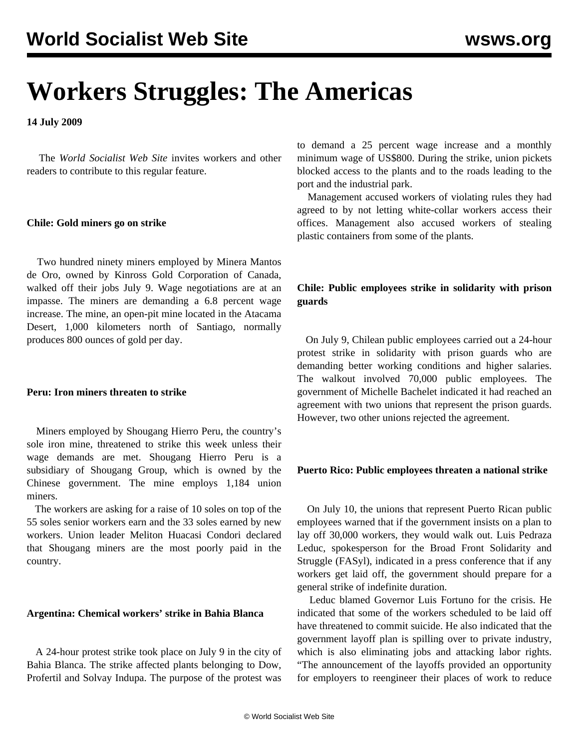# **Workers Struggles: The Americas**

**14 July 2009**

 The *World Socialist Web Site* invites workers and other readers to [contribute](/wsws/dd-formmailer/dd-formmailer.php) to this regular feature.

#### **Chile: Gold miners go on strike**

 Two hundred ninety miners employed by Minera Mantos de Oro, owned by Kinross Gold Corporation of Canada, walked off their jobs July 9. Wage negotiations are at an impasse. The miners are demanding a 6.8 percent wage increase. The mine, an open-pit mine located in the Atacama Desert, 1,000 kilometers north of Santiago, normally produces 800 ounces of gold per day.

#### **Peru: Iron miners threaten to strike**

 Miners employed by Shougang Hierro Peru, the country's sole iron mine, threatened to strike this week unless their wage demands are met. Shougang Hierro Peru is a subsidiary of Shougang Group, which is owned by the Chinese government. The mine employs 1,184 union miners.

 The workers are asking for a raise of 10 soles on top of the 55 soles senior workers earn and the 33 soles earned by new workers. Union leader Meliton Huacasi Condori declared that Shougang miners are the most poorly paid in the country.

#### **Argentina: Chemical workers' strike in Bahia Blanca**

 A 24-hour protest strike took place on July 9 in the city of Bahia Blanca. The strike affected plants belonging to Dow, Profertil and Solvay Indupa. The purpose of the protest was

to demand a 25 percent wage increase and a monthly minimum wage of US\$800. During the strike, union pickets blocked access to the plants and to the roads leading to the port and the industrial park.

 Management accused workers of violating rules they had agreed to by not letting white-collar workers access their offices. Management also accused workers of stealing plastic containers from some of the plants.

### **Chile: Public employees strike in solidarity with prison guards**

 On July 9, Chilean public employees carried out a 24-hour protest strike in solidarity with prison guards who are demanding better working conditions and higher salaries. The walkout involved 70,000 public employees. The government of Michelle Bachelet indicated it had reached an agreement with two unions that represent the prison guards. However, two other unions rejected the agreement.

#### **Puerto Rico: Public employees threaten a national strike**

 On July 10, the unions that represent Puerto Rican public employees warned that if the government insists on a plan to lay off 30,000 workers, they would walk out. Luis Pedraza Leduc, spokesperson for the Broad Front Solidarity and Struggle (FASyl), indicated in a press conference that if any workers get laid off, the government should prepare for a general strike of indefinite duration.

 Leduc blamed Governor Luis Fortuno for the crisis. He indicated that some of the workers scheduled to be laid off have threatened to commit suicide. He also indicated that the government layoff plan is spilling over to private industry, which is also eliminating jobs and attacking labor rights. "The announcement of the layoffs provided an opportunity for employers to reengineer their places of work to reduce